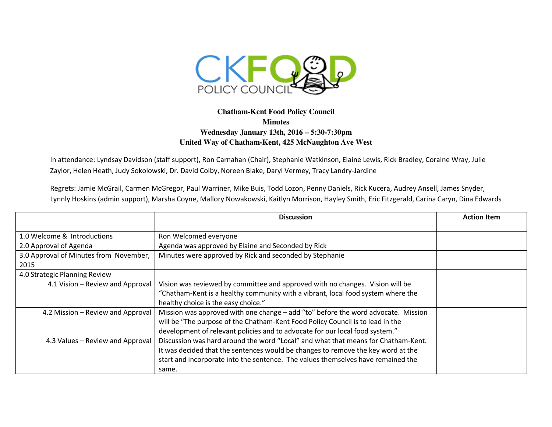

## **Chatham-Kent Food Policy Council Minutes Wednesday January 13th, 2016 – 5:30-7:30pm United Way of Chatham-Kent, 425 McNaughton Ave West**

In attendance: Lyndsay Davidson (staff support), Ron Carnahan (Chair), Stephanie Watkinson, Elaine Lewis, Rick Bradley, Coraine Wray, Julie Zaylor, Helen Heath, Judy Sokolowski, Dr. David Colby, Noreen Blake, Daryl Vermey, Tracy Landry-Jardine

Regrets: Jamie McGrail, Carmen McGregor, Paul Warriner, Mike Buis, Todd Lozon, Penny Daniels, Rick Kucera, Audrey Ansell, James Snyder, Lynnly Hoskins (admin support), Marsha Coyne, Mallory Nowakowski, Kaitlyn Morrison, Hayley Smith, Eric Fitzgerald, Carina Caryn, Dina Edwards

|                                        | <b>Discussion</b>                                                                 | <b>Action Item</b> |
|----------------------------------------|-----------------------------------------------------------------------------------|--------------------|
|                                        |                                                                                   |                    |
| 1.0 Welcome & Introductions            | Ron Welcomed everyone                                                             |                    |
| 2.0 Approval of Agenda                 | Agenda was approved by Elaine and Seconded by Rick                                |                    |
| 3.0 Approval of Minutes from November, | Minutes were approved by Rick and seconded by Stephanie                           |                    |
| 2015                                   |                                                                                   |                    |
| 4.0 Strategic Planning Review          |                                                                                   |                    |
| 4.1 Vision - Review and Approval       | Vision was reviewed by committee and approved with no changes. Vision will be     |                    |
|                                        | "Chatham-Kent is a healthy community with a vibrant, local food system where the  |                    |
|                                        | healthy choice is the easy choice."                                               |                    |
| 4.2 Mission - Review and Approval      | Mission was approved with one change - add "to" before the word advocate. Mission |                    |
|                                        | will be "The purpose of the Chatham-Kent Food Policy Council is to lead in the    |                    |
|                                        | development of relevant policies and to advocate for our local food system."      |                    |
| 4.3 Values - Review and Approval       | Discussion was hard around the word "Local" and what that means for Chatham-Kent. |                    |
|                                        | It was decided that the sentences would be changes to remove the key word at the  |                    |
|                                        | start and incorporate into the sentence. The values themselves have remained the  |                    |
|                                        | same.                                                                             |                    |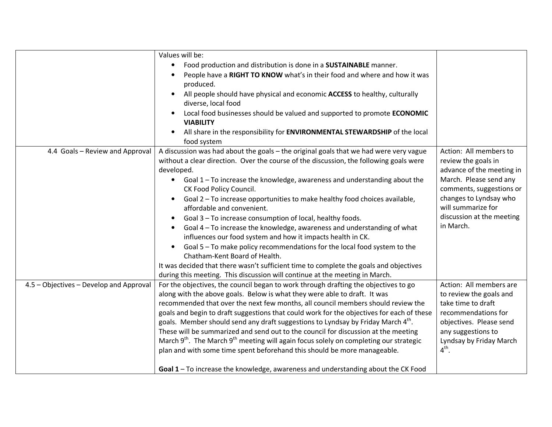|                                         | Values will be:                                                                                               |                                        |
|-----------------------------------------|---------------------------------------------------------------------------------------------------------------|----------------------------------------|
|                                         | Food production and distribution is done in a SUSTAINABLE manner.<br>$\bullet$                                |                                        |
|                                         | People have a RIGHT TO KNOW what's in their food and where and how it was                                     |                                        |
|                                         | produced.                                                                                                     |                                        |
|                                         | All people should have physical and economic ACCESS to healthy, culturally                                    |                                        |
|                                         | diverse, local food                                                                                           |                                        |
|                                         | Local food businesses should be valued and supported to promote ECONOMIC                                      |                                        |
|                                         | <b>VIABILITY</b>                                                                                              |                                        |
|                                         | All share in the responsibility for ENVIRONMENTAL STEWARDSHIP of the local                                    |                                        |
|                                         | food system                                                                                                   |                                        |
| 4.4 Goals - Review and Approval         | A discussion was had about the goals - the original goals that we had were very vague                         | Action: All members to                 |
|                                         | without a clear direction. Over the course of the discussion, the following goals were                        | review the goals in                    |
|                                         | developed.                                                                                                    | advance of the meeting in              |
|                                         | Goal 1 - To increase the knowledge, awareness and understanding about the<br>$\bullet$                        | March. Please send any                 |
|                                         | CK Food Policy Council.                                                                                       | comments, suggestions or               |
|                                         | Goal 2 - To increase opportunities to make healthy food choices available,<br>$\bullet$                       | changes to Lyndsay who                 |
|                                         | affordable and convenient.                                                                                    | will summarize for                     |
|                                         | Goal 3 - To increase consumption of local, healthy foods.                                                     | discussion at the meeting<br>in March. |
|                                         | Goal 4 - To increase the knowledge, awareness and understanding of what                                       |                                        |
|                                         | influences our food system and how it impacts health in CK.                                                   |                                        |
|                                         | Goal 5 - To make policy recommendations for the local food system to the<br>Chatham-Kent Board of Health.     |                                        |
|                                         | It was decided that there wasn't sufficient time to complete the goals and objectives                         |                                        |
|                                         | during this meeting. This discussion will continue at the meeting in March.                                   |                                        |
| 4.5 - Objectives - Develop and Approval | For the objectives, the council began to work through drafting the objectives to go                           | Action: All members are                |
|                                         | along with the above goals. Below is what they were able to draft. It was                                     | to review the goals and                |
|                                         | recommended that over the next few months, all council members should review the                              | take time to draft                     |
|                                         | goals and begin to draft suggestions that could work for the objectives for each of these                     | recommendations for                    |
|                                         | goals. Member should send any draft suggestions to Lyndsay by Friday March 4 <sup>th</sup> .                  | objectives. Please send                |
|                                         | These will be summarized and send out to the council for discussion at the meeting                            | any suggestions to                     |
|                                         | March 9 <sup>th</sup> . The March 9 <sup>th</sup> meeting will again focus solely on completing our strategic | Lyndsay by Friday March                |
|                                         | plan and with some time spent beforehand this should be more manageable.                                      | $4th$ .                                |
|                                         |                                                                                                               |                                        |
|                                         | Goal 1-To increase the knowledge, awareness and understanding about the CK Food                               |                                        |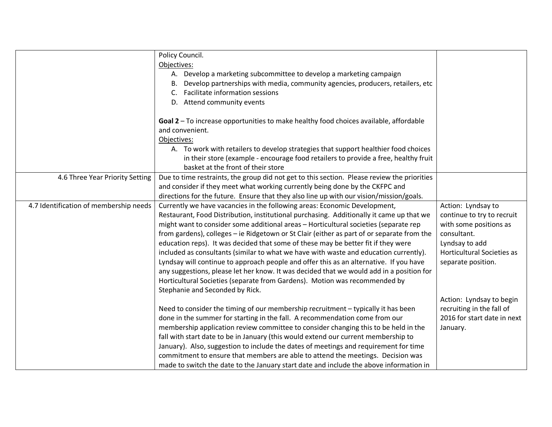|                                        | Policy Council.                                                                             |                                   |
|----------------------------------------|---------------------------------------------------------------------------------------------|-----------------------------------|
|                                        | Objectives:                                                                                 |                                   |
|                                        | A. Develop a marketing subcommittee to develop a marketing campaign                         |                                   |
|                                        | Develop partnerships with media, community agencies, producers, retailers, etc<br>В.        |                                   |
|                                        | Facilitate information sessions<br>C.                                                       |                                   |
|                                        | D. Attend community events                                                                  |                                   |
|                                        |                                                                                             |                                   |
|                                        | Goal 2 - To increase opportunities to make healthy food choices available, affordable       |                                   |
|                                        | and convenient.                                                                             |                                   |
|                                        | Objectives:                                                                                 |                                   |
|                                        | A. To work with retailers to develop strategies that support healthier food choices         |                                   |
|                                        | in their store (example - encourage food retailers to provide a free, healthy fruit         |                                   |
|                                        | basket at the front of their store                                                          |                                   |
| 4.6 Three Year Priority Setting        | Due to time restraints, the group did not get to this section. Please review the priorities |                                   |
|                                        | and consider if they meet what working currently being done by the CKFPC and                |                                   |
|                                        | directions for the future. Ensure that they also line up with our vision/mission/goals.     |                                   |
| 4.7 Identification of membership needs | Currently we have vacancies in the following areas: Economic Development,                   | Action: Lyndsay to                |
|                                        | Restaurant, Food Distribution, institutional purchasing. Additionally it came up that we    | continue to try to recruit        |
|                                        | might want to consider some additional areas - Horticultural societies (separate rep        | with some positions as            |
|                                        | from gardens), colleges - ie Ridgetown or St Clair (either as part of or separate from the  | consultant.                       |
|                                        | education reps). It was decided that some of these may be better fit if they were           | Lyndsay to add                    |
|                                        | included as consultants (similar to what we have with waste and education currently).       | <b>Horticultural Societies as</b> |
|                                        | Lyndsay will continue to approach people and offer this as an alternative. If you have      | separate position.                |
|                                        | any suggestions, please let her know. It was decided that we would add in a position for    |                                   |
|                                        | Horticultural Societies (separate from Gardens). Motion was recommended by                  |                                   |
|                                        | Stephanie and Seconded by Rick.                                                             |                                   |
|                                        |                                                                                             | Action: Lyndsay to begin          |
|                                        | Need to consider the timing of our membership recruitment - typically it has been           | recruiting in the fall of         |
|                                        | done in the summer for starting in the fall. A recommendation come from our                 | 2016 for start date in next       |
|                                        | membership application review committee to consider changing this to be held in the         | January.                          |
|                                        | fall with start date to be in January (this would extend our current membership to          |                                   |
|                                        | January). Also, suggestion to include the dates of meetings and requirement for time        |                                   |
|                                        | commitment to ensure that members are able to attend the meetings. Decision was             |                                   |
|                                        | made to switch the date to the January start date and include the above information in      |                                   |